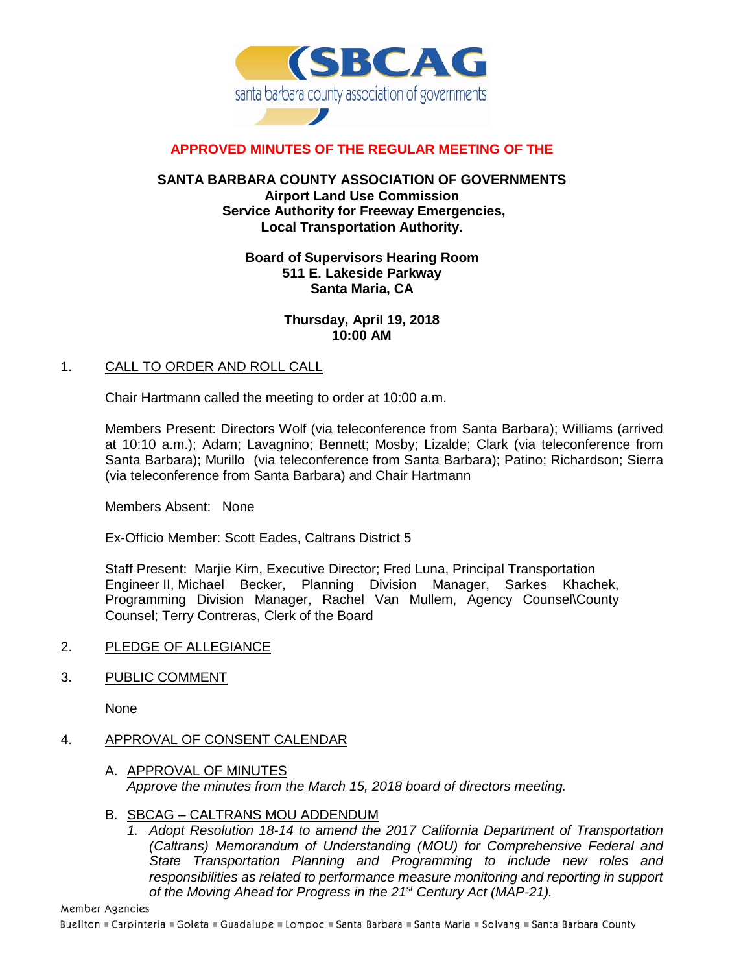

# **APPROVED MINUTES OF THE REGULAR MEETING OF THE**

### **SANTA BARBARA COUNTY ASSOCIATION OF GOVERNMENTS Airport Land Use Commission Service Authority for Freeway Emergencies, Local Transportation Authority.**

### **Board of Supervisors Hearing Room 511 E. Lakeside Parkway Santa Maria, CA**

### **Thursday, April 19, 2018 10:00 AM**

### 1. CALL TO ORDER AND ROLL CALL

Chair Hartmann called the meeting to order at 10:00 a.m.

Members Present: Directors Wolf (via teleconference from Santa Barbara); Williams (arrived at 10:10 a.m.); Adam; Lavagnino; Bennett; Mosby; Lizalde; Clark (via teleconference from Santa Barbara); Murillo (via teleconference from Santa Barbara); Patino; Richardson; Sierra (via teleconference from Santa Barbara) and Chair Hartmann

Members Absent: None

Ex-Officio Member: Scott Eades, Caltrans District 5

Staff Present: Marjie Kirn, Executive Director; Fred Luna, Principal Transportation Engineer II, Michael Becker, Planning Division Manager, Sarkes Khachek, Programming Division Manager, Rachel Van Mullem, Agency Counsel\County Counsel; Terry Contreras, Clerk of the Board

#### 2. PLEDGE OF ALLEGIANCE

# 3. PUBLIC COMMENT

None

# 4. APPROVAL OF CONSENT CALENDAR

- A. APPROVAL OF MINUTES *Approve the minutes from the March 15, 2018 board of directors meeting.*
- B. SBCAG CALTRANS MOU ADDENDUM
	- *1. Adopt Resolution 18-14 to amend the 2017 California Department of Transportation (Caltrans) Memorandum of Understanding (MOU) for Comprehensive Federal and State Transportation Planning and Programming to include new roles and responsibilities as related to performance measure monitoring and reporting in support of the Moving Ahead for Progress in the 21st Century Act (MAP-21).*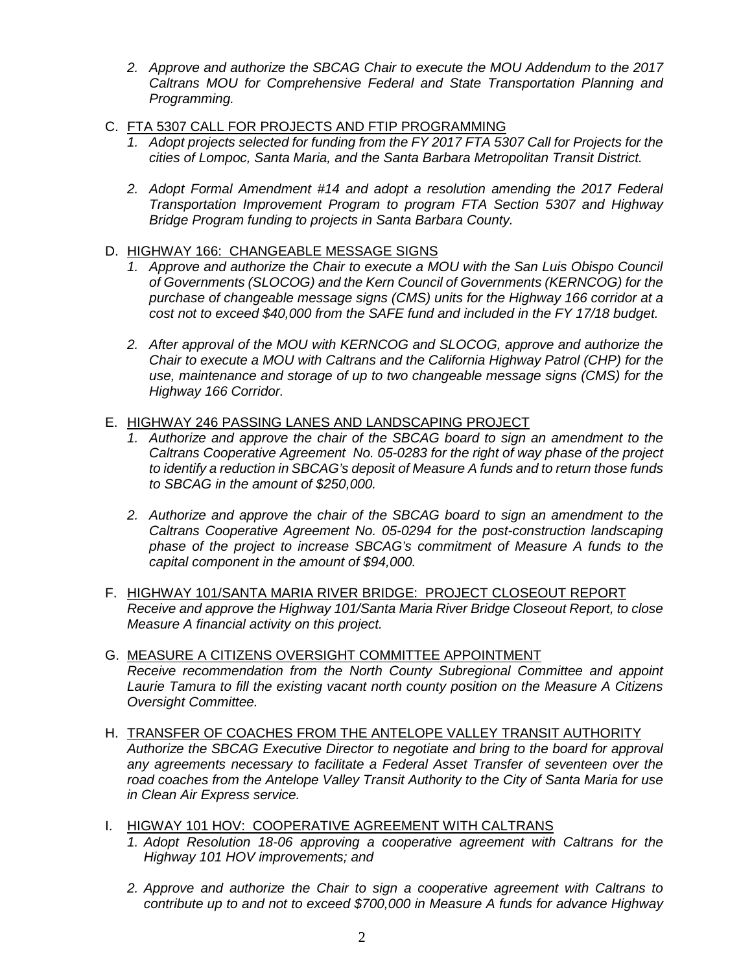- *2. Approve and authorize the SBCAG Chair to execute the MOU Addendum to the 2017 Caltrans MOU for Comprehensive Federal and State Transportation Planning and Programming.*
- C. FTA 5307 CALL FOR PROJECTS AND FTIP PROGRAMMING
	- *1. Adopt projects selected for funding from the FY 2017 FTA 5307 Call for Projects for the cities of Lompoc, Santa Maria, and the Santa Barbara Metropolitan Transit District.*
	- *2. Adopt Formal Amendment #14 and adopt a resolution amending the 2017 Federal Transportation Improvement Program to program FTA Section 5307 and Highway Bridge Program funding to projects in Santa Barbara County.*
- D. HIGHWAY 166: CHANGEABLE MESSAGE SIGNS
	- *1. Approve and authorize the Chair to execute a MOU with the San Luis Obispo Council of Governments (SLOCOG) and the Kern Council of Governments (KERNCOG) for the purchase of changeable message signs (CMS) units for the Highway 166 corridor at a cost not to exceed \$40,000 from the SAFE fund and included in the FY 17/18 budget.*
	- *2. After approval of the MOU with KERNCOG and SLOCOG, approve and authorize the Chair to execute a MOU with Caltrans and the California Highway Patrol (CHP) for the use, maintenance and storage of up to two changeable message signs (CMS) for the Highway 166 Corridor.*

# E. HIGHWAY 246 PASSING LANES AND LANDSCAPING PROJECT

- *1. Authorize and approve the chair of the SBCAG board to sign an amendment to the Caltrans Cooperative Agreement No. 05-0283 for the right of way phase of the project to identify a reduction in SBCAG's deposit of Measure A funds and to return those funds to SBCAG in the amount of \$250,000.*
- *2. Authorize and approve the chair of the SBCAG board to sign an amendment to the Caltrans Cooperative Agreement No. 05-0294 for the post-construction landscaping phase of the project to increase SBCAG's commitment of Measure A funds to the capital component in the amount of \$94,000.*
- F. HIGHWAY 101/SANTA MARIA RIVER BRIDGE: PROJECT CLOSEOUT REPORT *Receive and approve the Highway 101/Santa Maria River Bridge Closeout Report, to close Measure A financial activity on this project.*
- G. MEASURE A CITIZENS OVERSIGHT COMMITTEE APPOINTMENT *Receive recommendation from the North County Subregional Committee and appoint Laurie Tamura to fill the existing vacant north county position on the Measure A Citizens Oversight Committee.*
- H. TRANSFER OF COACHES FROM THE ANTELOPE VALLEY TRANSIT AUTHORITY *Authorize the SBCAG Executive Director to negotiate and bring to the board for approval any agreements necessary to facilitate a Federal Asset Transfer of seventeen over the road coaches from the Antelope Valley Transit Authority to the City of Santa Maria for use in Clean Air Express service.*
- I. HIGWAY 101 HOV: COOPERATIVE AGREEMENT WITH CALTRANS
	- *1. Adopt Resolution 18-06 approving a cooperative agreement with Caltrans for the Highway 101 HOV improvements; and*
	- *2. Approve and authorize the Chair to sign a cooperative agreement with Caltrans to contribute up to and not to exceed \$700,000 in Measure A funds for advance Highway*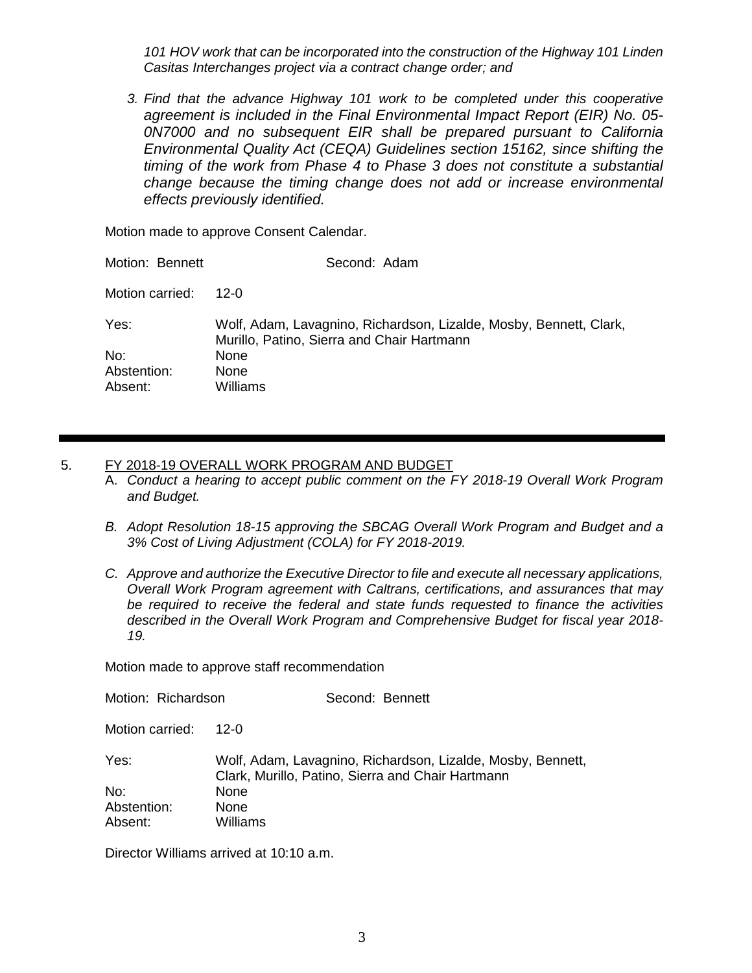*101 HOV work that can be incorporated into the construction of the Highway 101 Linden Casitas Interchanges project via a contract change order; and*

*3. Find that the advance Highway 101 work to be completed under this cooperative agreement is included in the Final Environmental Impact Report (EIR) No. 05- 0N7000 and no subsequent EIR shall be prepared pursuant to California Environmental Quality Act (CEQA) Guidelines section 15162, since shifting the timing of the work from Phase 4 to Phase 3 does not constitute a substantial change because the timing change does not add or increase environmental effects previously identified.*

Motion made to approve Consent Calendar.

| Motion: Bennett | Second: Adam                                                                                                     |
|-----------------|------------------------------------------------------------------------------------------------------------------|
| Motion carried: | 12-0                                                                                                             |
| Yes:            | Wolf, Adam, Lavagnino, Richardson, Lizalde, Mosby, Bennett, Clark,<br>Murillo, Patino, Sierra and Chair Hartmann |
| No:             | None                                                                                                             |
| Abstention:     | None                                                                                                             |
| Absent:         | Williams                                                                                                         |

#### 5. FY 2018-19 OVERALL WORK PROGRAM AND BUDGET

- A. *Conduct a hearing to accept public comment on the FY 2018-19 Overall Work Program and Budget.*
- *B. Adopt Resolution 18-15 approving the SBCAG Overall Work Program and Budget and a 3% Cost of Living Adjustment (COLA) for FY 2018-2019.*
- *C. Approve and authorize the Executive Director to file and execute all necessary applications, Overall Work Program agreement with Caltrans, certifications, and assurances that may be required to receive the federal and state funds requested to finance the activities described in the Overall Work Program and Comprehensive Budget for fiscal year 2018- 19.*

Motion made to approve staff recommendation

| Motion: Richardson | Second: Bennett                                                                                                  |
|--------------------|------------------------------------------------------------------------------------------------------------------|
| Motion carried:    | 12-0                                                                                                             |
| Yes:               | Wolf, Adam, Lavagnino, Richardson, Lizalde, Mosby, Bennett,<br>Clark, Murillo, Patino, Sierra and Chair Hartmann |
| No:                | None                                                                                                             |
| Abstention:        | None                                                                                                             |
| Absent:            | Williams                                                                                                         |

Director Williams arrived at 10:10 a.m.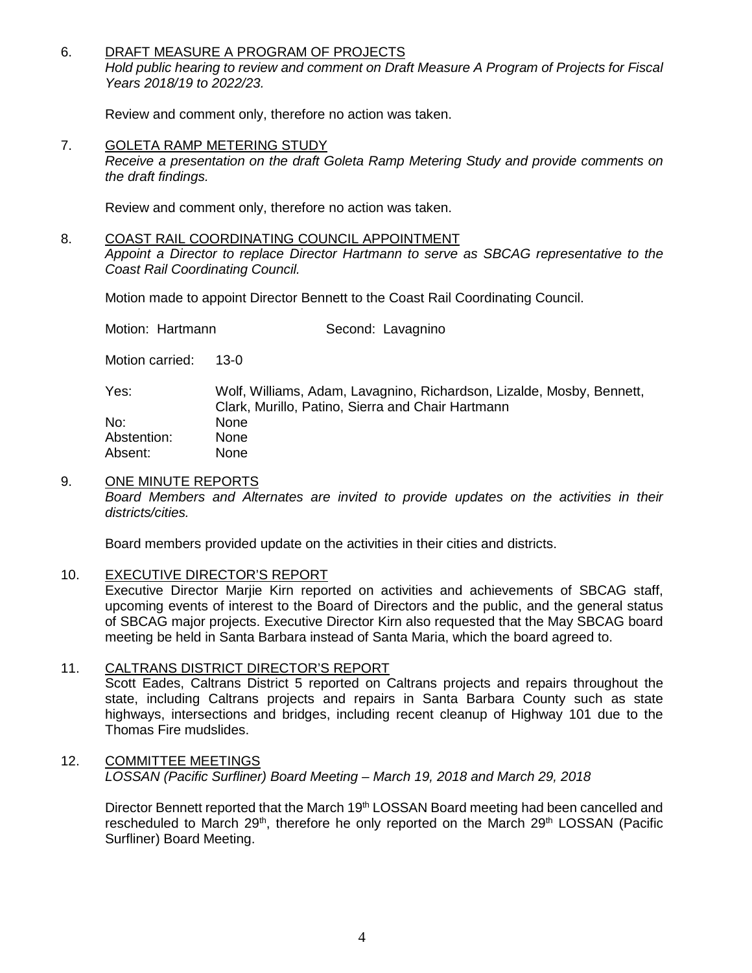#### 6. DRAFT MEASURE A PROGRAM OF PROJECTS *Hold public hearing to review and comment on Draft Measure A Program of Projects for Fiscal Years 2018/19 to 2022/23.*

Review and comment only, therefore no action was taken.

7. GOLETA RAMP METERING STUDY

*Receive a presentation on the draft Goleta Ramp Metering Study and provide comments on the draft findings.*

Review and comment only, therefore no action was taken.

# 8. COAST RAIL COORDINATING COUNCIL APPOINTMENT

*Appoint a Director to replace Director Hartmann to serve as SBCAG representative to the Coast Rail Coordinating Council.*

Motion made to appoint Director Bennett to the Coast Rail Coordinating Council.

| Motion: Hartmann | Second: Lavagnino |
|------------------|-------------------|
|                  |                   |

Motion carried: 13-0

Yes: Wolf, Williams, Adam, Lavagnino, Richardson, Lizalde, Mosby, Bennett, Clark, Murillo, Patino, Sierra and Chair Hartmann No: None Abstention: None Absent: None

### 9. ONE MINUTE REPORTS

*Board Members and Alternates are invited to provide updates on the activities in their districts/cities.*

Board members provided update on the activities in their cities and districts.

#### 10. EXECUTIVE DIRECTOR'S REPORT

Executive Director Marjie Kirn reported on activities and achievements of SBCAG staff, upcoming events of interest to the Board of Directors and the public, and the general status of SBCAG major projects. Executive Director Kirn also requested that the May SBCAG board meeting be held in Santa Barbara instead of Santa Maria, which the board agreed to.

# 11. CALTRANS DISTRICT DIRECTOR'S REPORT

Scott Eades, Caltrans District 5 reported on Caltrans projects and repairs throughout the state, including Caltrans projects and repairs in Santa Barbara County such as state highways, intersections and bridges, including recent cleanup of Highway 101 due to the Thomas Fire mudslides.

#### 12. COMMITTEE MEETINGS *LOSSAN (Pacific Surfliner) Board Meeting – March 19, 2018 and March 29, 2018*

Director Bennett reported that the March 19<sup>th</sup> LOSSAN Board meeting had been cancelled and rescheduled to March 29<sup>th</sup>, therefore he only reported on the March 29<sup>th</sup> LOSSAN (Pacific Surfliner) Board Meeting.